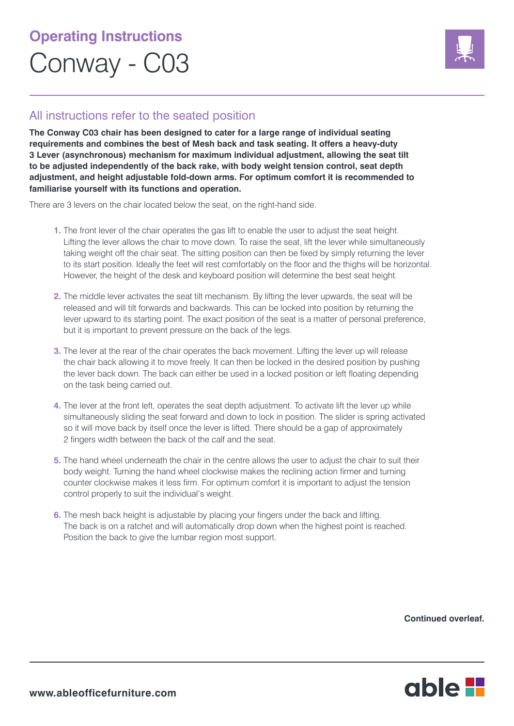## **Operating Instructions** Conway - C03



## All instructions refer to the seated position

**The Conway C03 chair has been designed to cater for a large range of individual seating requirements and combines the best of Mesh back and task seating. It offers a heavy-duty 3 Lever (asynchronous) mechanism for maximum individual adjustment, allowing the seat tilt to be adjusted independently of the back rake, with body weight tension control, seat depth adjustment, and height adjustable fold-down arms. For optimum comfort it is recommended to familiarise yourself with its functions and operation.**

There are 3 levers on the chair located below the seat, on the right-hand side.

- **1.** The front lever of the chair operates the gas lift to enable the user to adjust the seat height. Lifting the lever allows the chair to move down. To raise the seat, lift the lever while simultaneously taking weight off the chair seat. The sitting position can then be fixed by simply returning the lever to its start position. Ideally the feet will rest comfortably on the floor and the thighs will be horizontal. However, the height of the desk and keyboard position will determine the best seat height.
- **2.** The middle lever activates the seat tilt mechanism. By lifting the lever upwards, the seat will be released and will tilt forwards and backwards. This can be locked into position by returning the lever upward to its starting point. The exact position of the seat is a matter of personal preference, but it is important to prevent pressure on the back of the legs.
- **3.** The lever at the rear of the chair operates the back movement. Lifting the lever up will release the chair back allowing it to move freely. It can then be locked in the desired position by pushing the lever back down. The back can either be used in a locked position or left floating depending on the task being carried out.
- **4.** The lever at the front left, operates the seat depth adjustment. To activate lift the lever up while simultaneously sliding the seat forward and down to lock in position. The slider is spring activated so it will move back by itself once the lever is lifted. There should be a gap of approximately 2 fingers width between the back of the calf and the seat.
- **5.** The hand wheel underneath the chair in the centre allows the user to adjust the chair to suit their body weight. Turning the hand wheel clockwise makes the reclining action firmer and turning counter clockwise makes it less firm. For optimum comfort it is important to adjust the tension control properly to suit the individual's weight.
- **6.** The mesh back height is adjustable by placing your fingers under the back and lifting. The back is on a ratchet and will automatically drop down when the highest point is reached. Position the back to give the lumbar region most support.

**Continued overleaf.**